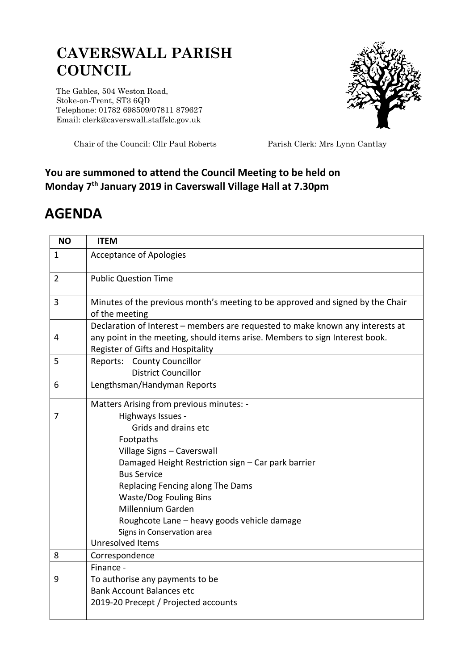## **CAVERSWALL PARISH COUNCIL**

The Gables, 504 Weston Road, Stoke-on-Trent, ST3 6QD Telephone: 01782 698509/07811 879627 Email: clerk@caverswall.staffslc.gov.uk



Chair of the Council: Cllr Paul Roberts Parish Clerk: Mrs Lynn Cantlay

## **You are summoned to attend the Council Meeting to be held on Monday 7 th January 2019 in Caverswall Village Hall at 7.30pm**

## **AGENDA**

| <b>NO</b>      | <b>ITEM</b>                                                                                                                                                                                                                                                                                                                                                                                             |
|----------------|---------------------------------------------------------------------------------------------------------------------------------------------------------------------------------------------------------------------------------------------------------------------------------------------------------------------------------------------------------------------------------------------------------|
| 1              | <b>Acceptance of Apologies</b>                                                                                                                                                                                                                                                                                                                                                                          |
| $\overline{2}$ | <b>Public Question Time</b>                                                                                                                                                                                                                                                                                                                                                                             |
| 3              | Minutes of the previous month's meeting to be approved and signed by the Chair<br>of the meeting                                                                                                                                                                                                                                                                                                        |
| 4              | Declaration of Interest - members are requested to make known any interests at<br>any point in the meeting, should items arise. Members to sign Interest book.<br>Register of Gifts and Hospitality                                                                                                                                                                                                     |
| 5              | Reports: County Councillor<br><b>District Councillor</b>                                                                                                                                                                                                                                                                                                                                                |
| 6              | Lengthsman/Handyman Reports                                                                                                                                                                                                                                                                                                                                                                             |
| 7              | Matters Arising from previous minutes: -<br>Highways Issues -<br>Grids and drains etc<br>Footpaths<br>Village Signs - Caverswall<br>Damaged Height Restriction sign - Car park barrier<br><b>Bus Service</b><br>Replacing Fencing along The Dams<br><b>Waste/Dog Fouling Bins</b><br>Millennium Garden<br>Roughcote Lane - heavy goods vehicle damage<br>Signs in Conservation area<br>Unresolved Items |
| 8              | Correspondence                                                                                                                                                                                                                                                                                                                                                                                          |
| 9              | Finance -<br>To authorise any payments to be<br><b>Bank Account Balances etc</b><br>2019-20 Precept / Projected accounts                                                                                                                                                                                                                                                                                |